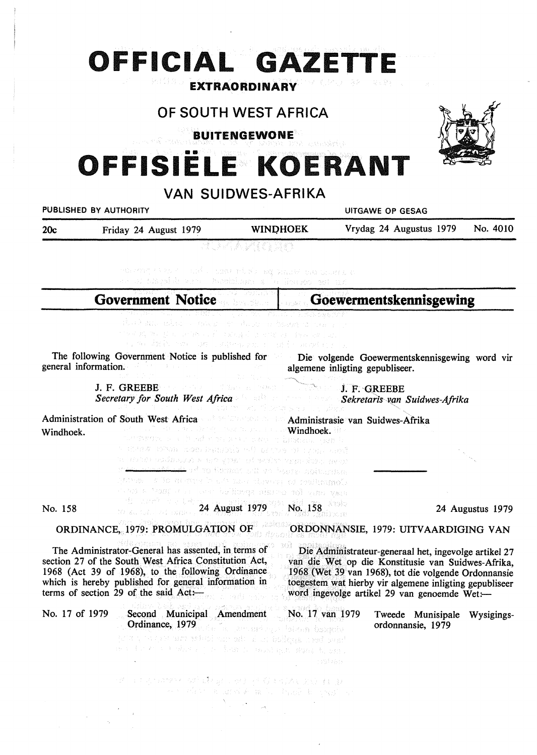# **OFFICIAL GA ETTE**

# **OF SOUTH WEST AFRICA**

**EXTRAORDINARY** 

**BUITENGEWONE** 



# **OFFISIELE KOERANT**

# **VAN SUIDWES-AFRIKA PUBLISHED BY AUTHORITY CONSUMING A RESAGE AND RESAGE AT A RESAGE AT A PUBLISHED BY AUTHORITY** 20c Friday 24 August 1979 **WINI)HOEK** Vrydag 24 Augustus 1979 No. 4010 and a contribution valued on called a o a thuil ban homban **Goewermentskennisgewing Government Notice**  ng Jamie 2020 ○ ○有一、子宫外有, 字是 (1) The following Government Notice is published for Die volgende Goewermentskennisgewing word vir general information. algemene inligting gepubliseer. J. F. GREEBE *i.* F. 'GREEBE *Secretary for South West Africa Sekretarfs v~n Suidwes-Afrika*  Administration of South West Africa Administrasie van Suidwes-Afrika Windhoek. Windhoek. The ESS Definers in the extra RADA REVAL SOR PREDERS AT DISPOSE IN LINE ARE a mar colovo nac pre el sciar que invo ever ad and to Compare will go bouts abituring Comparison to a series that the class of a lactual a may anay for persist specified tong an unit a contribution No. 158 24 August 1979 No. 158 24 Augustus 1979 ORDINANCE, 1979: PROMULGATION OF ORDONNANSIE, 1979: UITV AARDIGING VAN

The Administrator-General has assented, in terms of section 27 of the South West Africa Constitution Act, 1968 (Act 39 of 1968), to the following Ordinance which is hereby published for general information in terms of section 29 of the said  $Act:$ 

Die Administrateur-generaal bet, ingevolge artikel 27 van die Wet op die Konstitusie van Suidwes-Afrika, 1968 (Wet 39 van 1968), tot die volgende Ordonnansie toegestem wat hierby vir algemene inligting gepubliseer word ingevolge artikel 29 van genoemde Wet:-

| No. 17 of 1979 | Second Municipal Amendment No. 17 van 1979<br>はくしゅぎょう しょえい<br><b>Ordinance, 1979</b> and an attenuating a falcom beageing<br>the basic back and the construction of the construction of the state<br>ment for the fight in the figure count may fund from a |          | Tweede Munisipale Wysigings-<br>ordonnansie, 1979 |  |
|----------------|-------------------------------------------------------------------------------------------------------------------------------------------------------------------------------------------------------------------------------------------------------------|----------|---------------------------------------------------|--|
|                |                                                                                                                                                                                                                                                             | 计时程序 经转换 |                                                   |  |
|                |                                                                                                                                                                                                                                                             |          |                                                   |  |

生物学生的生长 医红蝶科 建二甲烷 计有效调试器 医眼神经过敏 The Confessional August 2014 and the Confessional August 2014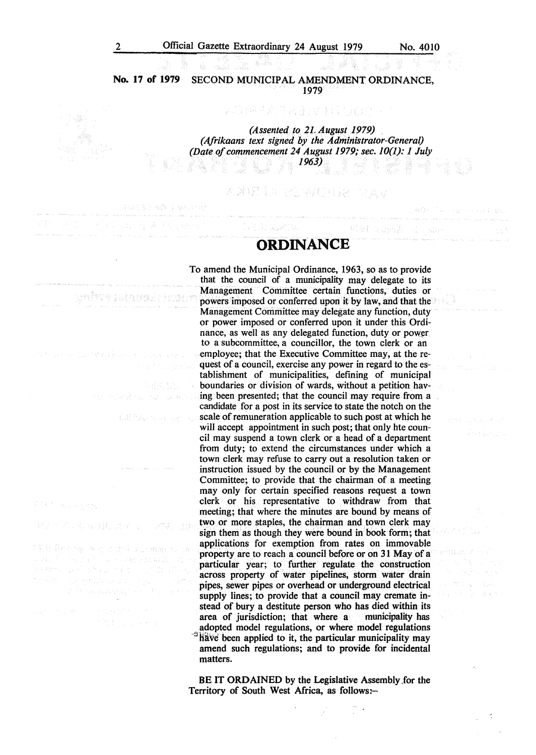PACSO 40 J MADIES

and my Author when C

บรรใชว 4 แน่ง พระยน ครบระกศ

nearch san that says are

EATA-SALE ALLE

de en els condicions de la facta de la condicional de la region

ざいせい ほうほうかん マーク マネースは

对1.4 module back and back en kanto da Konstantino e por por de t Article y programa del co<sub>nti</sub>duo

**CONTRACTOR** 

1300 Forest Holding

经相关 医阴道肌结合 dina Sayares (

alitan it

Australia

Well aspek al an

**No. 17 of 1979** SECOND MUNICIPAL AMENDMENT ORDINANCE, 1979

> *(Assented to 2L August 1979) (Afrikaans text signed by the Administrator-General) (Date of commencement 24 August 1979; sec. 10(1): 1 July 1963)*

**指标的 的复数人名英格兰人姓氏** 

AXIPER SENGERA MAY

# **ORDINANCE**

To amend the Municipal Ordinance, 1963, so as to provide that the council of a municipality may delegate to its Management Committee certain functions, duties or powers imposed or conferred upon it by law, and that the Management Committee may delegate any function, duty or power imposed or conferred upon it under this Ordinance, as well as any delegated function, duty or power to a subcommittee, a councillor, the town clerk or an employee; that the Executive Committee may, at the request of a council, exercise any power in regard to the establishment of municipalities, defining of municipal boundaries or division of wards, without a petition having been presented; that the council may require from a candidate for a post in its service to state the notch on the scale of remuneration applicable to such post at which he will accept appointment in such post; that only hte council may suspend a town clerk or a head of a department from duty; to extend the circumstances under which a town clerk may refuse to carry out a resolution taken or instruction issued by the council or by the Management Committee; to provide that the chairman of a meeting may only for certain specified reasons request a town clerk or his representative to withdraw from that meeting; that where the minutes are bound by means of two or more staples, the chairman and town clerk may sign them as though they were bound in book form; that applications for exemption from rates on immovable property are to reach a council before or on 31 May of a particular year; to further regulate the construction across property of water pipelines, storm water drain pipes, sewer pipes or overhead or underground electrical supply lines; to provide that a council may cremate instead of bury a destitute person who has died within its area of jurisdiction: that where a municipality has area of jurisdiction; that where a adopted model regulations, or where model regulations  $\frac{h}{h}$  been applied to it, the particular municipality may amend such regulations; and to provide for incidental matters.

BE IT **ORDAINED** by the Legislative Assembly.for the Territory of South West Africa, as follows:-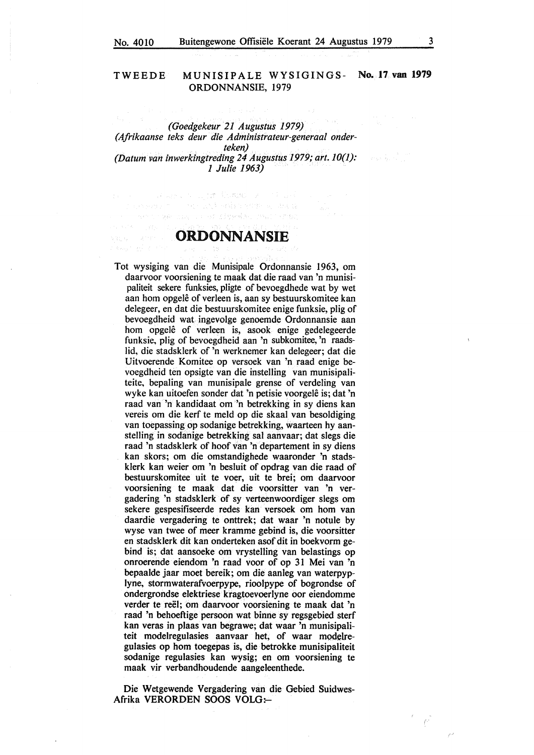# TWEEDE MUNISIPALE **WYSIGINGS- No. 17 van 1979 ORDONNANSIE,** 1979

 $\mathbf{v}_{\mathrm{max}}$ *(Goedgekeur 21 Augustus 1979) (Afrikaanse teks deur die Administrateur-generaal onderteken) (Datum van inwerkingtreding 24 Augustus 1979; art. JO(]): 1 Julie 1963)* 

# **ORDONNANSIE**

Professional Army Andrew Computer of Contract .<br>Do se predice de la contra de la contra de la contra de la contra de la contra de la contra de la contra de la in 1990.<br>Samungan di Samung Binggal Album (1990) (1990)

would be a common

Tot wysiging van die Munisipale Ordonnansie 1963, om daarvoor voorsiening te maak dat die raad van 'n munisipaliteit sekere funksies, pligte of bevoegdhede wat by wet aan hom opgelê of verleen is, aan sy bestuurskomitee kan delegeer, en dat die bestuurskomitee enige funksie, plig of bevoegdheid wat ingevolge genoemde Ordonnansie aan hom opgelê of verleen is, asook enige gedelegeerde funksie, plig of bevoegdheid aan 'n subkomitee, 'n raadslid, die stadsklerk of 'n werknemer kan delegeer; dat die Uitvoerende Komitee op versoek van 'n raad enige bevoegdheid ten opsigte van die instelling van munisipaliteite, bepaling van munisipale grense of verdeling van wyke kan uitoefen sonder dat 'n petisie voorgele is; dat 'n raad van 'n kandidaat om 'n betrekking in sy diens kan vereis om die kerf te meld op die skaal van besoldiging van toepassing op sodanige betrekking, waarteen hy aanstelling in sodanige betrekking sal aanvaar; dat slegs die raad 'n stadsklerk of hoof van 'n departement in sy diens kan skors; om die omstandighede waaronder 'n stadsklerk kan weier om 'n besluit of opdrag van die raad of bestuurskomitee uit te voer, uit te brei; om daarvoor voorsiening te maak dat die voorsitter van 'n vergadering 'n stadsklerk of sy verteenwoordiger slegs om sekere gespesifiseerde redes kan versoek om horn van daardie vergadering te onttrek; dat waar 'n notule by wyse van twee of meer kramme gebind is, die voorsitter en stadsklerk dit kan onderteken asof dit in boekvorm gebind is; dat aansoeke om vrystelling van belastings op onroerende eiendom 'n raad voor of op 31 Mei van 'n bepaalde jaar moet bereik; om die aanleg van waterpyplyne, stormwaterafvoerpype, rioolpype of bogrondse of ondergrondse elektriese kragtoevoerlyne oor eiendomme verder te reel; om daarvoor voorsiening te maak dat 'n raad 'n behoeftige persoon wat binne sy regsgebied sterf kan veras in plaas van begrawe; dat waar 'n munisipaliteit modelregulasies aanvaar het, of waar modelregulasies op horn toegepas is, die betrokke munisipaliteit sodanige regulasies kan wysig; en om voorsiening te maak vir verbandhoudende aangeleenthede.

Die Wetgewende Vergadering van die Gebied Suidwes-**Afrika VERORDEN SOOS VOLG:-**

 $\hat{C}$ 

i a shekarar 2011.<br>Matsayin Ayyun Ma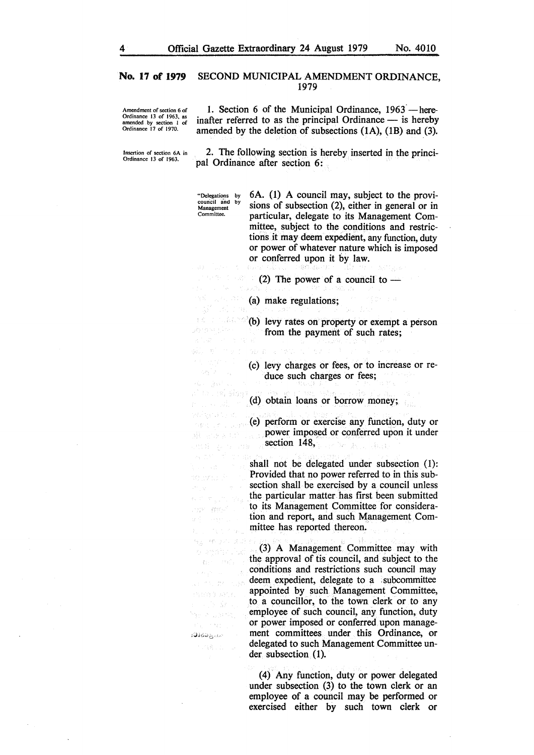Amendment of section 6 of Ordinance 13 of 1963, as amended by section 1 or Ordinance 17 of 1970. 1. Section 6 of the Municipal Ordinance,  $1963$  - hereinafter referred to as the principal Ordinance  $-$  is hereby amended by the deletion of subsections (IA), (1B) and (3).

Insertion or section 6A in Ordinance 13 of 1963.

2. The following section is hereby inserted in the principal Ordinance after section 6:

"Delegations by council and by Management Committee.

te rickaro yêya ey sur li jî eva

 $\mathcal{L} \mathcal{E}_{\mathcal{Y}}^{(1)}(\mathcal{E})$ de gal

r u svět

an sa Sil .<br>Kata ing Pilipina apr ansi

negara di Lucado

何是一种 医六二迭层 发光性的 (成) Contractor Band

.<br>Ali meli meli nash PRESS 9 BACK e sk

 $\gamma_{\rm c} \rightarrow \bar{q}_{\rm d}$ 

- 25

6A. (1) A council may, subject to the provisions of subsection (2), either in general or in particular, delegate to its Management Committee, subject to the conditions and restrictions it may deem expedient, any function, duty or power of whatever nature which is imposed or conferred upon it by law.

(2) The power of a council to  $-$ 

(a} make regulations;

(b) levy rates on property or exempt a person from the payment of such rates;

(c) levy charges or fees, or to increase or reduce such charges or fees;

An Tai Sion (d) obtain loans or borrow money;

> (e) perform or exercise any function, duty or power imposed or conferred upon it under section 148, Bernard Co

> shall not be delegated under subsection (1): Provided that no power referred to in this subsection shall be exercised by a council unless the particular matter has first been submitted to its Management Committee for consideration and report, and such Management Committee has reported thereon.

(3) A Management Committee may with the approval of tis council, and subject to the conditions and restrictions such council may deem expedient, delegate to a subcommittee appointed by such Management Committee, to a councillor, to the town clerk or to any employee of such council, any function, duty or power imposed or conferred upon manage- ,.;.,,;;,,. , ment committees under this Ordinance, or delegated to such Management Committee under subsection (1).

> ( 4) Any function, duty or power delegated under subsection (3) to the town clerk or an employee of a council may be performed or exercised either by such town clerk or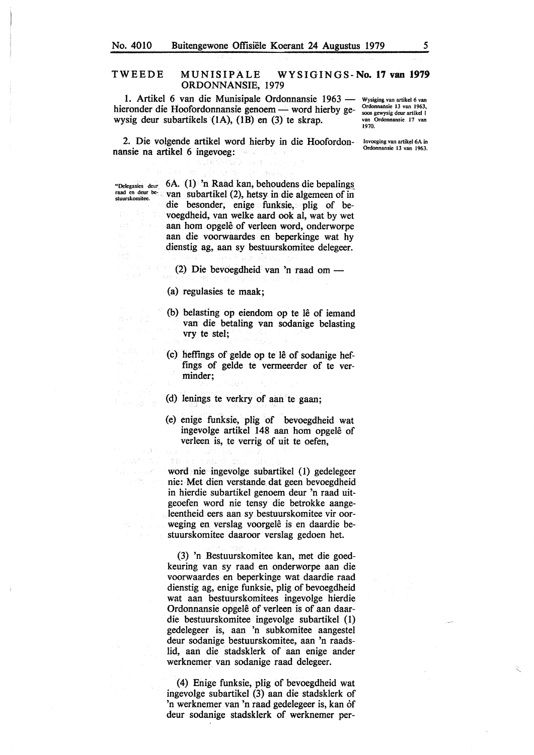# TWEEDE MUNISIPALE WYSIGINGS-No. 17 van 1979 ORDONNANSIE, 1979

1. Artikel 6 van die Munisipale Ordonnansie 1963 hieronder die Hoofordonnansie genoem - word hierby gewysig deur subartikels {IA), (lB) en (3) te skrap.

Wysiging van artikel 6 van Ordonnansie 13 van 1963, SOOS gewysig deur artikel I van Ordonnansie 17 van 1970.

Invoeging van artikel 6A in Ordonnansie 13 van 1963.

2. Die volgende artikel word hierby in die Hoofordonnansie na artikel 6 ingevoeg: . Bandere bergera

"Delegasies deur 6A. (1) 'n Raad kan, behoudens die bepalings raad en deur bestuurskomitee. van subartikel (2), hetsy in die algemeen of in die besonder, enige funksie, plig of bevoegdheid, van welke aard ook al, wat by wet aan hom opgelê of verleen word, onderworpe aan die voorwaardes en beperkinge wat hy dienstig ag, aan sy bestuurskomitee delegeer.

(2) Die bevoegdheid van 'n raad om -

(a) regulasies te maak;

5.3

 $\sim$   $\sim$ 

- (b) belasting op eiendom op te lê of iemand van die betaling van sodanige belasting vry te stel;
- ( c) heffings of gelde op te le of sodanige heffings of gelde te vermeerder of te verminder;
- (d) Ienings te verkry of aan te gaan;
- (e) enige funksie, plig of bevoegdheid wat ingevolge artikel 148 aan hom opgelê of verleen is, te verrig of uit te oefen,

word nie ingevolge subartikel (1) gedelegeer nie: Met dien verstande dat geen bevoegdheid in hierdie subartikel genoem deur 'n raad uitgeoefen word nie tensy die betrokke aangeleentheid eers aan sy bestuurskomitee vir oorweging en verslag voorgelê is en daardie bestuurskomitee daaroor verslag gedoen het.

(3) 'n Bestuurskomitee kan, met die goedkeuring van sy raad en onderworpe aan die voorwaardes en beperkinge wat daardie raad dienstig ag, enige funksie, plig of bevoegdheid wat aan bestuurskomitees ingevolge hierdie Ordonnansie opgelê of verleen is of aan daardie bestuurskomitee ingevolge subartikel (1) gedelegeer is, aan 'n subkomitee aangestel deur sodanige bestuurskomitee, aan 'n raadslid, aan die stadsklerk of aan enige ander werknemer van sodanige raad delegeer.

(4) Enige funksie, plig of bevoegdheid wat ingevolge subartikel (3) aan die stadsklerk of 'n werknemer van 'n raad gedelegeer is, kan of deur sodanige stadsklerk of werknemer per-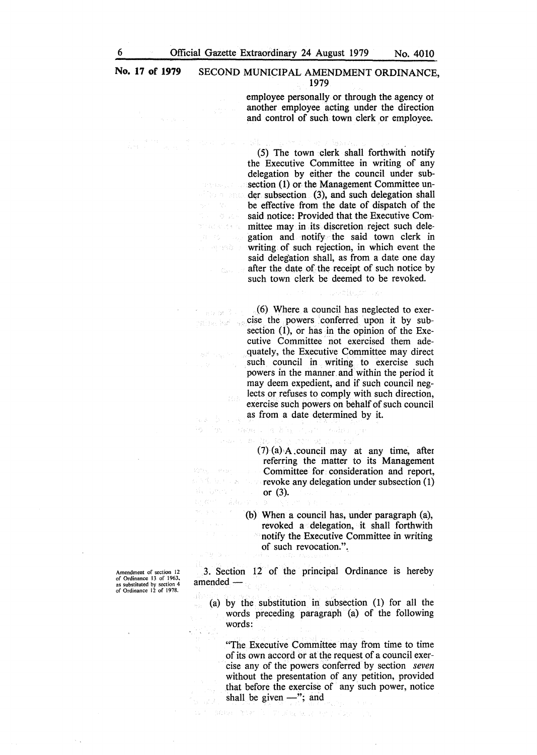alistic explicit

ing ta British miles het sp

 $\mathcal{F}_L$ 

Tate Congression

i Adolf

nse is i

÷,

Search B. The

employee personally or through the agency ot another employee acting under the direction and control of such town clerk or employee.

(5) The town clerk shall forthwith notify the Executive Committee in writing of any delegation by either the council under subsection (1) or the Management Committee un- $\sim$  der subsection (3), and such delegation shall be effective from the date of dispatch of the  $\phi_{\rm{min}}$ said notice: Provided that the Executive Committee may in its discretion reject such dele**gation and notify the said town clerk in writing of such rejection, in which event the** said delegation shall, as from a date one day **after the date of the receipt of such notice by** such town clerk be deemed to be revoked.

(6) Where a council has neglected to exercise the powers conferred upon it by subsection  $(1)$ , or has in the opinion of the Executive Committee not exercised them adequately, the Executive Committee may direct such council in writing to exercise such powers in the manner and within the period it may deem expedient, and if such council neglects or refuses to comply with such direction, exercise such powers on behalf of such council as from a date determined by it.

 $(7)$  (a) A council may at any time, after referring the matter to its Management Committee for consideration and report,  $\mathbb{R}^n$  is the section  $\mathbb{R}^n$  revoke any delegation under subsection  $(1)$  $\label{eq:3.1} \frac{1}{Y}\Big\{ \chi_{\mu}=\frac{1}{Y}\mu^{2\alpha}\chi^{2\alpha}\chi^{2\alpha} \chi^{2\alpha\beta} \qquad \forall \, \beta$ or (3).

> (b) When a council has, under paragraph (a), revoked a delegation, it shall forthwith notify the Executive Committee in writing of such revocation.".

3. Section 12 of the principal Ordinance is hereby amended —

8. 8%, 2040

an and

(a) by the substitution in subsection (1) for all the words preceding paragraph (a) of the following words:

"The Executive Committee may from time to time of its own accord or at the request of a council exercise any of the powers conferred by section *seven*  without the presentation of any petition, provided that before the exercise of any such power, notice shall be given  $-$ "; and

and the Colorador and Contractor

Amendment of section 12 of Ordinance 13 of 1963, as substituted by section 4 of Ordinance 12 of 1978.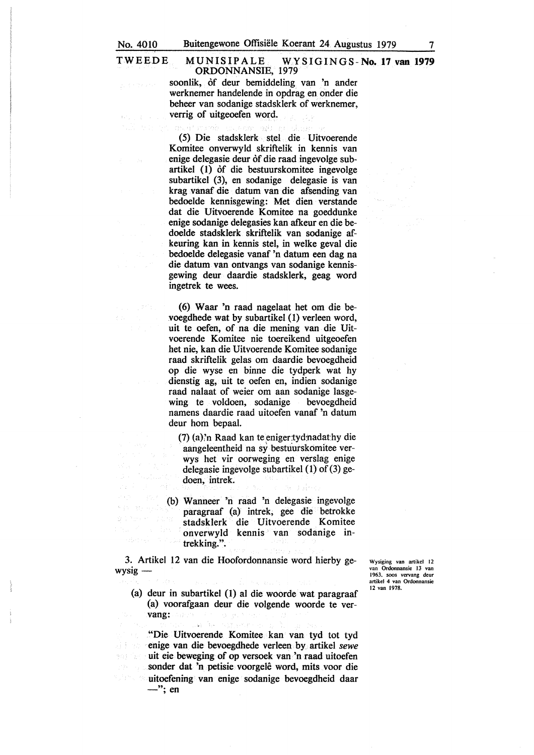#### TWEEDE MUNISIPALE **WYSIGINGS-No. 17 van 1979 ORDONNANSIE,** 1979

soonlik, of deur bemiddeling van 'n ander werknemer handelende in opdrag en onder die beheer van sodanige stadsklerk of werknemer, verrig of uitgeoefen word.

(5) Die stadsklerk stel die Uitvoerende Komitee onverwyld skriftelik in kennis van enige delegasie deur of die raad ingevolge subartikel (1) of die bestuurskomitee ingevolge subartikel (3), en sodanige delegasie is van krag vanaf die datum van die afsending van bedoelde kennisgewing: Met dien verstande dat die Uitvoerende Komitee na goeddunke enige sodanige delegasies kan afkeur en die bedoelde stadsklerk skriftelik van sodanige afkeuring kan in kennis stel, in welke geval die bedoelde delegasie vanaf 'n datum een dag na die datum van ontvangs van sodanige kennisgewing deur daardie stadsklerk, geag word ingetrek te wees.

( 6) Waar 'n raad nagelaat het om die bevoegdhede wat by subartikel (1) verleen word, uit te oefen, of na die mening van die Uitvoerende Komitee nie toereikend uitgeoefen het nie, kan die Uitvoerende Komitee sodanige raad skriftelik gelas om daardie bevoegdheid op die wyse en binne die tydperk wat hy dienstig ag, uit te oefen en, indien sodanige raad nalaat of weier om aan sodanige lasgewing te voldoen, sodanige bevoegdheid namens daardie raad uitoefen vanaf 'n datum deur horn bepaal.

 $(7)$  (a)'n Raad kan te eniger:tyd:nadathy die aangeleentheid na sy bestuurskomitee verwys het vir oorweging en verslag enige delegasie ingevolge subartikel (1) of (3) gedoen, intrek.

(b) Wanneer 'n raad 'n delegasie ingevolge paragraaf (a) intrek, gee die betrokke stadsklerk die Uitvoerende Komitee onverwyld kennis van sodanige intrekking.".

3. Artikel 12 van die Hoofordonnansie word hierby ge $wysig -$ 

Wysiging van artikel 12 van Ordonnansie 13 van 1963, soos vervang deur artikel 4 van Ordonnansie 12 van 1978.

(a) deur in subartikel (1) al die woorde wat paragraaf (a) voorafgaan deur die volgende woorde te vervang:

"Die Uitvoerende Komitee kan van tyd tot tyd enige van die bevoegdhede verleen by artikel *sewe*  uit eie beweging of op versoek van 'n raad uitoefen  $\mathcal{O}_{\mathbb{P}}(f_1, \xi) \cong \mathcal{O}_{\mathbb{P}}(f)$ sonder dat 'n petisie voorgele word, mits voor die uitoefening van enige sodanige bevoegdheid daar  $-$ "; en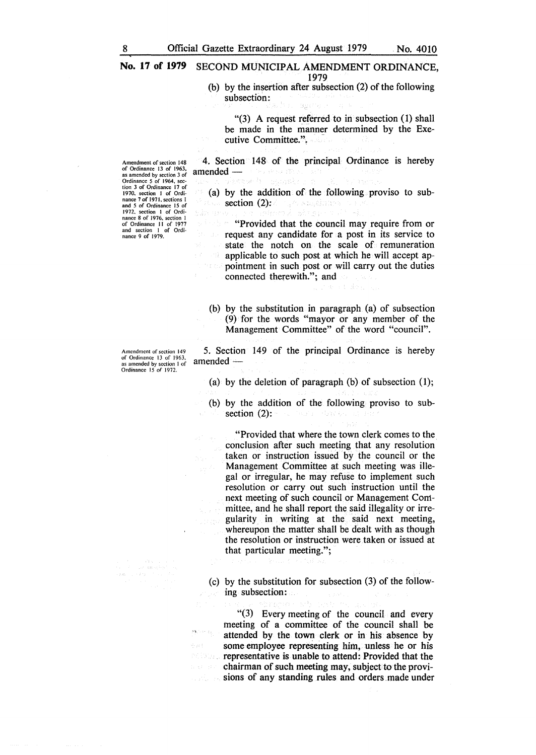(b) by the insertion after subsection (2) of the following subsection:

"(3) A request referred to in subsection (1) shall be made in the manner determined by the Executive Committee.",

4. Section 148 of the principal Ordinance is hereby  $amended$ richte sig (32)

(a) by the addition of the following proviso to subsection  $(2)$ : nghusangàidhea

"Provided that the council may require from or request any candidate for a post in its service to state the notch on the scale of remuneration applicable to such post at which he will accept appointment in such post or will carry out the duties

(b) by the substitution in paragraph (a) of subsection (9) for the words "mayor or any member of the Management Committee" of the word "council".

5. Section 149 of the principal Ordinance is hereby amended-

connected therewith."; and

(a) by the deletion of paragraph (b) of subsection (1);

(b) by the addition of the following proviso to subsection (2):

"Provided that where the town clerk comes to the conclusion after such meeting that any resolution taken or instruction issued by the council or the Management Committee at such meeting was illegal or irregular, he may refuse to implement such resolution or carry out such instruction until the next meeting of such council or Management Committee, and he shall report the said illegality or irregularity in writing at the said next meeting, whereupon the matter shall be dealt with as though the resolution or instruction were taken or issued at that particular meeting.";

(c) by the substitution for subsection (3) of the following subsection:

"(3) Every meeting of the council and every meeting of a committee of the council shall be  $\mathcal{P}^{\mathbf{a}_1\times\cdots\times\mathcal{A}_{\mathcal{A}_1}}$ attended by the town clerk or in his absence by some employee representing him, unless he or his representative is unable to attend: Provided that the chairman of such meeting may, subject to the provisions of any standing rules and orders .made under

Amendment of section 148<br>of Ordinance 13 of 1963,<br>as amended by section 3 of<br>Ordinance 5 of 1964, sec-<br>tion 3 of Ordinance 17 of<br>1970, section 1 of Ordi-<br>nance 7 of 1971, sections 1<br>and 5 of Ordinance 15 of 1972. section I of Ordi-nance 8 of 1976, section I of Ordinance 11 of 1977 and section I of Ordinance 9 of 1979.

Amendment of section 149 of Ordinance 13 of 1963, as amended by section 1 of Ordinance 15 of 1972.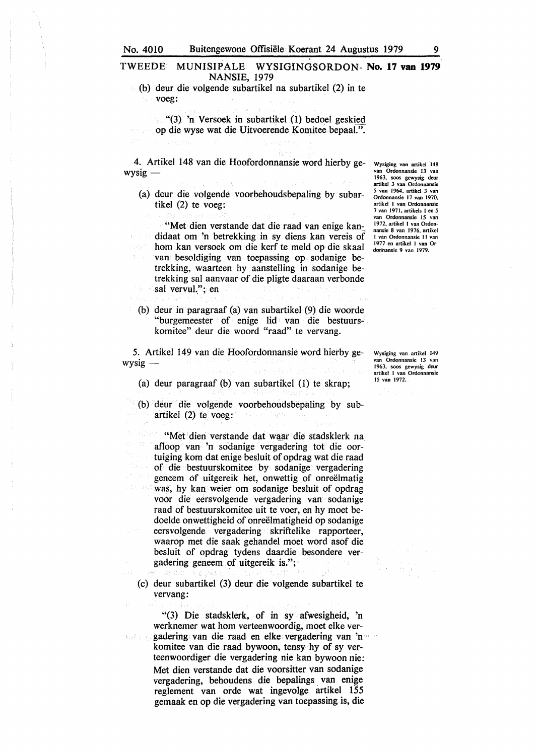# TWEEDE MUNISIPALE WYSIGINGSORDON- **No. 17 van 1979 NANSIE,** 1979

(b) deur die volgende subartikel na subartikel (2) in te voeg:

 $(3)$  'n Versoek in subartikel (1) bedoel geskied op die wyse wat die Uitvoerende Komitee bepaal.".

4. Artikel 148 van die Hoofordonnansie word hierby ge $wysig -$ 

(a) deur die volgende voorbehoudsbepaling by subartikel (2) te voeg:

"Met dien verstande dat die raad van enige kan: didaat om 'n betrekking in sy diens kan vereis of horn kan versoek om die kerf te meld op die skaal van besoldiging van toepassing op sodanige betrekking, waarteen hy aanstelling in sodanige betrekking sal aanvaar of die pligte daaraan verbonde sal vervul."; en

(b) deur in paragraaf (a) van subartikel (9) die woorde "burgemeester of enige lid van die bestuurskomitee" deur die woord "raad" te vervang.

5. Artikel 149 van die Hoofordonnansie word hierby ge $wysig -$ 

(a) deur paragraaf (b) van subartikel (I) te skrap;

(b) deur die volgende voorbehoudsbepaling by subartikel (2) te voeg:

"Met dien verstande dat waar die stadsklerk na afloop van 'n sodanige vergadering tot die oortuiging kom dat enige besluit of opdrag wat die raad of die bestuurskomitee by sodanige vergadering geneem of uitgereik het, onwettig of onreelmatig was, hy kan weier om sodanige besluit of opdrag voor die eersvolgende vergadering van sodanige raad of bestuurskomitee uit te voer, en hy moet bedoelde onwettigheid of onreelmatigheid op sodanige eersvolgende vergadering skriftelike rapporteer, waarop met die saak gehandel moet word asof die besluit of opdrag tydens daardie besondere vergadering geneem of uitgereik is.";

(c) deur subartikel (3) deur die volgende subartikel te vervang:

"(3) Die stadsklerk, of in sy afwesigheid, 'n werknemer wat hom verteenwoordig, moet elke vergadering van die raad en elke vergadering van 'n komitee van die raad bywoon, tensy hy of sy verteenwoordiger die vergadering nie kan bywoon nie: Met dien verstande dat die voorsitter van sodanige vergadering, behoudens die bepalings van enige reglement van orde wat ingevolge artikel 155 gemaak en op die vergadering van toepassing is, die

Wysiging van artikel 148 van Ordonnansie 13 van 1963, soos gewysig deur artikel 3 van Ordonnansie *5* van 1964, artikel 3 van Ordonnansie 17 van 1970, artikel I van Ordonnansie 7 van 1971, artikels I en *5*  **van Ordonnansie 15 van**  1972, artikel I van Ordonnansie 8 van 1976, artikel I van Ordonnansie 11 van 1977 en artikel I van Or· don'nansie 9 van 1979.

Wysiging van artikel 149 van Ordonnansie 13 van 1963, soos gewysig deur artikel I van Ordonnansie 15 van 1972.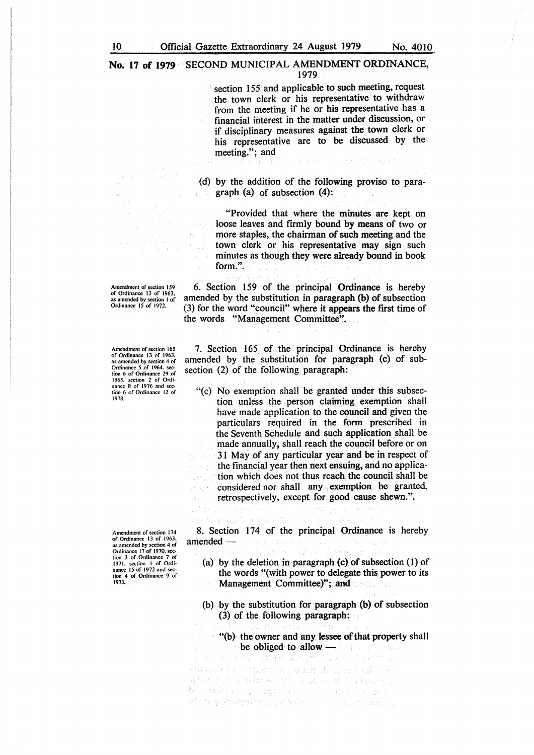section 155 and applicable to such meeting, request the town clerk or his representative to withdraw from the meeting if he or his representative has a financial interest in the matter under discussion, or if disciplinary measures against the town clerk or his representative are to be discussed by the meeting."; and<br>"and and a mass of the subset of the state like sets?"

(d) by the addition of the following proviso to paragraph (a) of subsection  $(4)$ :

"Provided that where the minutes are kept on loose leaves and firmly bound by means of two or more staples, the chairman of such meeting and the town clerk or his representative may sign such minutes as though they were already bound in book form,".

6. Section 159 of the principal **Ordinance** is hereby amended by the substitution in paragraph (b) of subsection (3) for the word "council" where it appears the first time of the words "Management Committee".

7. Section 165 of the principal Ordinance is hereby amended by the substitution for paragraph (c) of subsection (2) of the following paragraph:

"(c) No exemption shall be granted under this subsection unless the person claiming exemption shall have made application to the council and given the particulars required in the form prescribed in the Seventh Schedule and such application shall be made annually, shall reach the council before or on 31 May of any particular year and be in respect of the financial year then next ensuing, and no application which does not thus reach the council shall be considered nor shall any exemption be granted, retrospectively, except for good cause shewn.".

8. Section 174 of the principal Ordinance is hereby  $a$ mended $$ the product service control specific ste Antoni

(a) by the deletion in paragraph (c) of subsection  $(1)$  of the words "( with power to delegate this power to its Management Committee)"; and

(b) by the substitution for paragraph (b) of subsection (3) of the following paragraph:

"(b) the owner and any lessee of that property shall be obliged to allow  $\longrightarrow$  . An analysis of  $\sim$ 

s produce a su stilleggia vissão de suporta consiguira er a stranger and the state of the state of the state of the state of the state of the state of the state of t Mas Bolton sales agost a complete comparable admid gravestore and paradictive will go to modern

Amendment of section 159 of Ordinance 13 of 1963. *as* amended by section I of Ordinance 15 of 1972.

Amendment of section 165 of Ordinance 13 of 1963. as amended by section 4 of Ordinance 5 of 1964. sec-tion 6 of Ordinance 29 of 1965. section 2 of Ordi-nance 8 of 1976 and section 6 of Ordinance 12 of 1978.

Amendment of section 174 of Ordinance 13 of 1963.<br>
as amended by section 4 of<br>
Ordinance 17 of 1970, sec-<br>
tion 3 of Ordinance 7 of 1971. section I of Ordi-nance 15 of 1972 and section 4 of Ordinance 9 of 1973.

i pia

法一般性

 $\overline{H} = 1$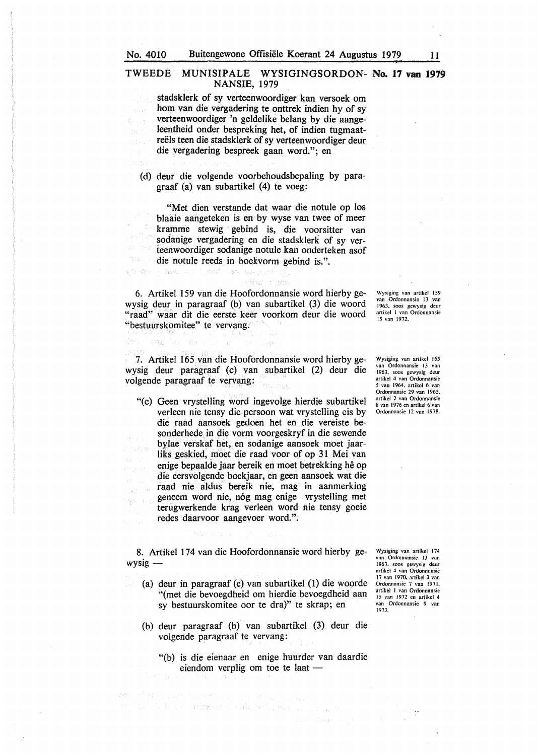$\chi_{1,1,3}$ 

en Kra

# TWEEDE MUNISIPALE **WYSIGINGSORDON- No. 17 van 1979 NANSIE,** 1979

stadsklerk of sy verteenwoordiger kan versoek om horn van die vergadering te onttrek indien hy of sy verteenwoordiger 'n geldelike belang by die aangeleentheid onder bespreking het, of indien tugmaatreëls teen die stadsklerk of sy verteenwoordiger deur die vergadering bespreek gaan word."; en

(d) deur die volgende voorbehoudsbepaling by paragraaf (a) van subartikel (4) te voeg:

"Met dien verstande dat waar die notule op los blaaie aangeteken is en by wyse van twee of meer kramme stewig gebind is, die voorsitter van sodanige vergadering en die stadsklerk of sy verteenwoordiger sodanige notule kan onderteken asof die notule reeds in boekvorm gebind is.". OB.

vijas mans

6. Artikel 159 van die Hoofordonnansie word hierby gewysig deur in paragraaf (b) van subartikel (3) die woord "raad" waar dit die eerste keer voorkom deur die woord "bestuurskomitee" te vervang.

Wysiging van artikel l *59*  van Ordonnansie 13 van 1963. soos gewysig deur artikcl I van Ordonnansie 15 van 1972.

7. Artikel 165 van die Hoofordonnansie word hierby gewysig deur paragraaf (c) van subartikel (2) deur die volgende paragraaf te vervang:

"(c) Geen vrystelling word ingevolge hierdie subartikel verleen nie tensy die persoon wat vrystelling eis by die raad aansoek gedoen het en die vereiste besonderhede in die vorm voorgeskryf in die sewende bylae verskaf het, en sodanige aansoek moet jaarliks geskied, moet die raad voor of op 31 Mei van enige bepaalde jaar bereik en moet betrekking he op die eersvolgende boekjaar, en geen aansoek wat die raad nie aldus bereik nie, mag in aanmerking geneem word nie, n6g mag enige vrystelling met 增加 中间 terugwerkende krag verleen word nie tensy goeie redes daarvoor aangevoer word.".

Wysiging van artikel 165 van Ordonnansie 13 van 1963. soos gewysig deur artikel 4 van Ordonnansie *5* van 1964. artikel 6 van Ordonnansie 29 van 1965. artikel 2 van Ordonnansie 8 van 1976 en artikel 6 van Ordonnansie 12 van 1978.

8. Artikel 174 van die Hoofordonnansie word hierby ge $wysig -$ 

- (a) deur in paragraaf (c) van subartikel (1) die woorde "(met die bevoegdheid om hierdie bevoegdheid aan sy bestuurskomitee oor te dra)" te skrap; en
- (b) deur paragraaf (b) van subartikel (3) deur die volgende paragraaf te vervang:

o timi na kata ing kapaling pakau

in the community of a stage of the

"(b) is die eienaar en enige huurder van daardie eiendom verplig om toe te laat -

Doual of

Wysiging van artikel 174 van Ordonnansie 13 van 1963. soos gewysig deur artikel 4 van Ordonnansie 17 van 1970. artikel 3 van Ordonnansie 7 van 1971. artikel 1 van Ordonnansie 15 van 1972 en artikel 4 van Ordonnansie 9 van 1973.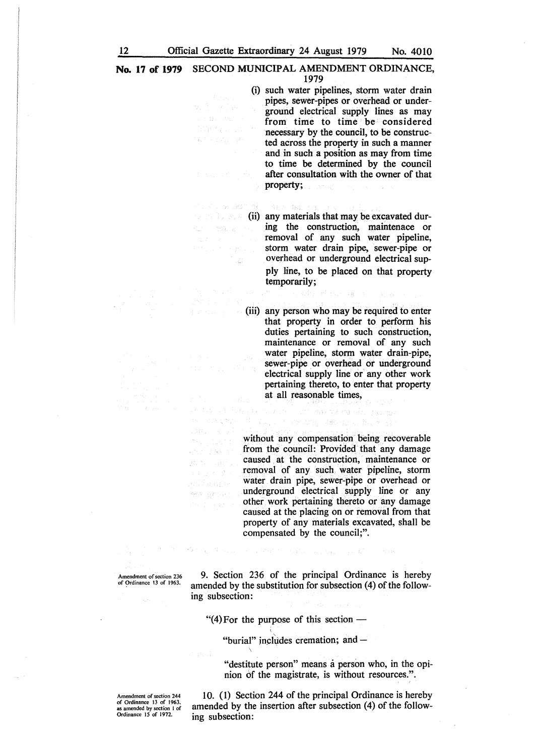1. Visitor BOT 91

dealer in the

立つともある。

经报告

กรให้ อ.ณ.วล 金库 直加 HSL たいよう 関係

被不了 生活的

(i) such water pipelines, storm water drain pipes, sewer-pipes or overhead or underground electrical supply lines as may from time to time be considered necessary by the council, to be constructed across the property in such a manner and in such a position as may from time to time be determined by the council after consultation with the owner of that property;

**Excession (ii) any materials that may be excavated dur**ing the construction, maintenace or removal of any such water pipeline, storm water drain pipe, sewer-pipe or overhead or underground electrical supply line, to be placed on that property temporarily;

the capital

(iii) any person who may be required to enter that property in order to perform his duties pertaining to such construction, maintenance or removal of any such water pipeline, storm water drain-pipe, sewer-pipe or overhead or underground electrical supply line or any other work pertaining thereto, to enter that property **at all reasonable times,**<br>and the contract of the contract of the contract of the contract of the contract of the contract of the contract of the contract of the contract of the contract of the contract of the contract of

without any compensation being recoverable from the council: Provided that any damage caused at the construction, maintenance or removal of any such water pipeline, storm water drain pipe, sewer-pipe or overhead or underground electrical supply line or any other work pertaining thereto or any damage caused at the placing on or removal from that property of any materials excavated, shall be compensated by the council;".

sta, ki mandang sebagai kalend

Amendment of section 236 or Ordinance 13 of 1963.

9. Section 236 of the principal Ordinance is hereby amended by the substitution for subsection (4) of the following subsection:

SAM PERSONAL P

"(4) For the purpose of this section  $-$ 

"burial" includes cremation; and  $-$ 

"destitute person" means a person who, in the opinion of the magistrate, is without resources.".

Amendment of section 244 of Ordinance 13 of 1963, as amended by section I of Ordinance 15 of 1972.

10. (1) Section 244 of the principal Ordinance is hereby amended by the insertion after subsection (4) of the following subsection: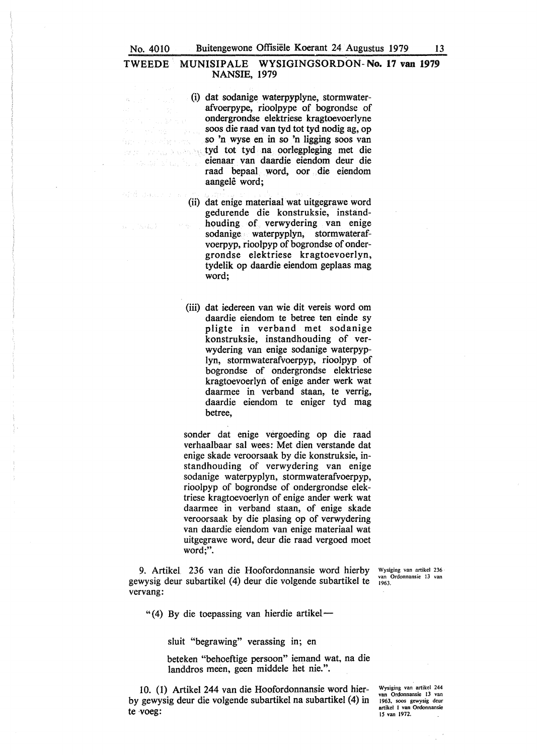## TWEEDE MUNISIPALE WYSIGINGSORDON-No. 17 van 1979 **NANSIE,** 1979

(i) dat sodanige waterpyplyne, stormwaterafvoerpype, rioolpype of bogrondse of ondergrondse elektriese kragtoevoerlyne soos die raad van tyd tot tyd nodig ag, op so 'n wyse en in so 'n Jigging soos van tyd tot tyd na oorlegpleging met die eienaar van daardie eiendom deur die raad bepaal. word, oor die eiendom aangelê word;

 $\{ \chi_i, \xi_i, \}$ 

(ii) dat enige materiaal wat uitgegrawe word gedurende die konstruksie, instandhouding of verwydering van enige sodanige waterpyplyn, stormwaterafvoerpyp, rioolpyp of bogrondse of ondergrondse elektriese kragtoevoerlyn, tydelik op daardie eiendom geplaas mag word;

(iii) dat iedereen van wie dit vereis word om daardie eiendom te betree ten einde sy pligte in verband met sodanige konstruksie, instandhouding of verwydering van enige sodanige waterpyplyn, stormwaterafvoerpyp, rioolpyp of bogrondse of ondergrondse elektriese kragtoevoerlyn of enige ander werk wat daarmee in verband staan, te verrig, daardie eiendom te eniger tyd mag betree,

sonder dat enige vergoeding op die raad verhaalbaar sal wees: Met dien verstande dat enige skade veroorsaak by die konstruksie, instandhouding of verwydering van enige sodanige waterpyplyn, stormwaterafvoerpyp, rioolpyp of bogrondse of ondergrondse elektriese kragtoevoerlyn of enige ander werk wat daarmee in verband staan, of enige skade veroorsaak by die plasing op of verwydering van daardie eiendom van enige materiaal wat uitgegrawe word, deur die raad vergoed moet word;".

9. Artikel. 236 van die Hoofordonnansie word hierby gewysig deur subartikel (4) deur die volgende subartikel te vervang:

Wysiging van artikel 236 van Ordonnansie 13 van 1963.

" (4) By die toepassing van hierdie artikel-

sluit "begrawing" verassing in; en

beteken "behoeftige persoon" iemand wat. na die landdros meen, geen middele het nie.".

10. (1) Artikel 244 van die Hoofordonnansie word bierby gewysig deur die volgende subartikel na subartikel ( 4) in te ·voeg:

Wysiging van artikel 244 van Ordonnansie 13 van<br>1963, soos gewysig deur artikel I van Ordonnansie 15 van 1972.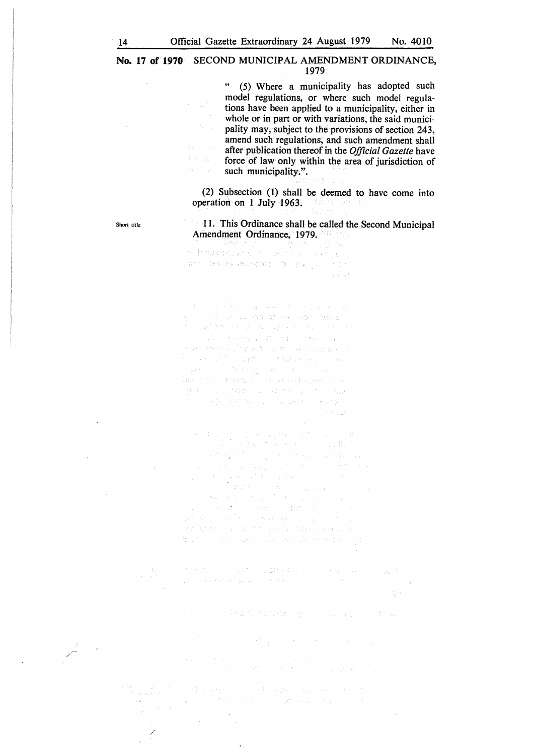(5) Where a municipality has adopted such model regulations, or where such model regulations have been applied to a municipality, either in whole or in part or with variations, the said municipality may, subject to the provisions of section 243, amend such regulations, and such amendment shall after publication thereof in the *Official Gazette* have force of law only within the area of jurisdiction of such municipality.".

(2) Subsection (1) shall be deemed to have come into operation on 1 July 1963. gunday.

11. This Ordinance shall be called the Second Municipal **Amendment Ordinance, 1979.**<br>Deliver and the property of the second property of the second

tar only necess to a go the in province.

 $\left\langle \left\langle \mathcal{O}_{\mathcal{A}}\right\rangle \right\rangle _{1}=\left\langle \left\langle \mathcal{O}_{\mathcal{A}}\right\rangle _{1}+\left\langle \mathcal{O}_{\mathcal{A}}\right\rangle _{1}+\left\langle \mathcal{O}_{\mathcal{A}}\right\rangle _{1}+\left\langle \mathcal{O}_{\mathcal{A}}\right\rangle _{1}+\left\langle \mathcal{O}_{\mathcal{A}}\right\rangle _{1}+\left\langle \mathcal{O}_{\mathcal{A}}\right\rangle _{1}+\left\langle \mathcal{O}_{\mathcal{A}}\right\rangle _{1}+\left\langle \mathcal{O}_{\mathcal{A}}$ s in the count we as the through star 第十一段时间将一个字字推动的 医附联膜 计微分区域 BACCO E FRANCO DO POLICIAL DE REPORT OF SAMPLE AND PROPERTY AND LODGED

 $\mathcal{R} = \mathcal{Q}(\mathbf{x} - \mathbf{y}_1) \cup \mathcal{Q}(\mathbf{A}) \cup \mathcal{Q}(\mathbf{y}_1) \cup \mathcal{Q}(\mathbf{y}_2) \cup \mathcal{Q}(\mathbf{y}_3)$  where  $\begin{split} \mathbb{E} \left[ \left( \begin{array}{ccc} \mathcal{H} & \mathcal{H} & \mathcal{H} \end{array} \right] \right] & \approx \frac{1}{244} \mathbb{E} \left[ \left( \begin{array}{ccc} \mathcal{H} & \mathcal{H} & \mathcal{H} \end{array} \right] \right] \left( \begin{array}{ccc} \mathcal{H} & \mathcal{H} \end{array} \right] \\ & \approx \mathbb{E} \left[ \left( \begin{array}{ccc} \mathcal{H} & \mathcal{H} \end{array} \right] \right] \left( \begin{array}{ccc} \mathcal{H} & \mathcal{H} \end$ itus – Salat (1988–1980)<br>1982: Roganov (m. 1989–1980)<br>1992: Robert (1980) (1989–1980) (1980–1980)<br>Roganov (m. 1990–1990) (1980–1990) terna in 1930, social di 1992, si vitali si pop

在所以提高的第三人称单数的数据中的第三人称单数 (Sec. 2) 如果 (1) 2000 美国电子学家 (1) 化氢氧化氢氧化氢

一种有点的原始的 用以下的 第二名 经一级金

We are the same that it was a second  $\left\| \left( \sum_{i=1}^n \left| \left( \sum_{i=1}^n \left| \mathcal{L}_{\mathcal{A}_i} \right) \right| \right) \right|^2 \right\|_{\mathcal{A}_i} \leq \left\| \left( \sum_{i=1}^n \left| \left( \sum_{i=1}^n \left| \mathcal{L}_{\mathcal{A}_i} \right| \right) \right| \right)^2 \right\|_{\mathcal{A}_i} \leq \left\| \left( \sum_{i=1}^n \left| \mathcal{L}_{\mathcal{A}_i} \right| \right)^2 \right\|_{\mathcal{A}_i} \leq \left\| \left( \sum_{$ 

(A) content of a books, but we can be a  $\sim$  3  $^{\circ}$  $\mathcal{A}$ 

Short title

*.. /c* 

/

l.

ja bos